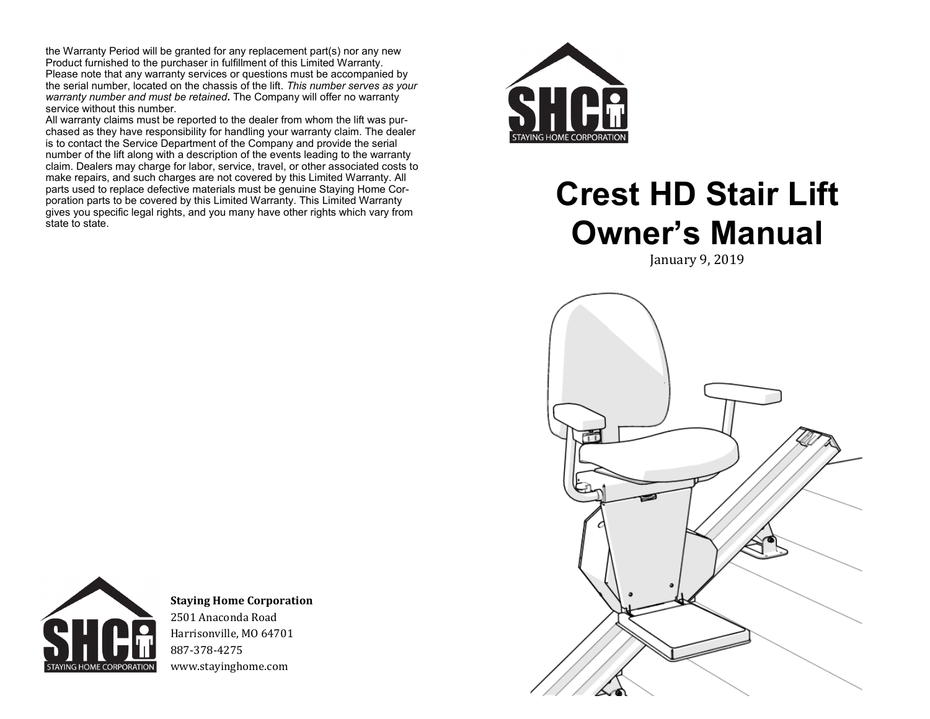the Warranty Period will be granted for any replacement part(s) nor any new Product furnished to the purchaser in fulfillment of this Limited Warranty. Please note that any warranty services or questions must be accompanied by the serial number, located on the chassis of the lift. *This number serves as your warranty number and must be retained***.** The Company will offer no warranty service without this number.

All warranty claims must be reported to the dealer from whom the lift was purchased as they have responsibility for handling your warranty claim. The dealer is to contact the Service Department of the Company and provide the serial number of the lift along with a description of the events leading to the warranty claim. Dealers may charge for labor, service, travel, or other associated costs to make repairs, and such charges are not covered by this Limited Warranty. All parts used to replace defective materials must be genuine Staying Home Corporation parts to be covered by this Limited Warranty. This Limited Warranty gives you specific legal rights, and you many have other rights which vary from state to state.



# **Crest HD Stair Lift Owner's Manual**

January 9, 2019





**Staying Home Corporation** 2501 Anaconda Road Harrisonville, MO 64701 887-378-4275 www.stayinghome.com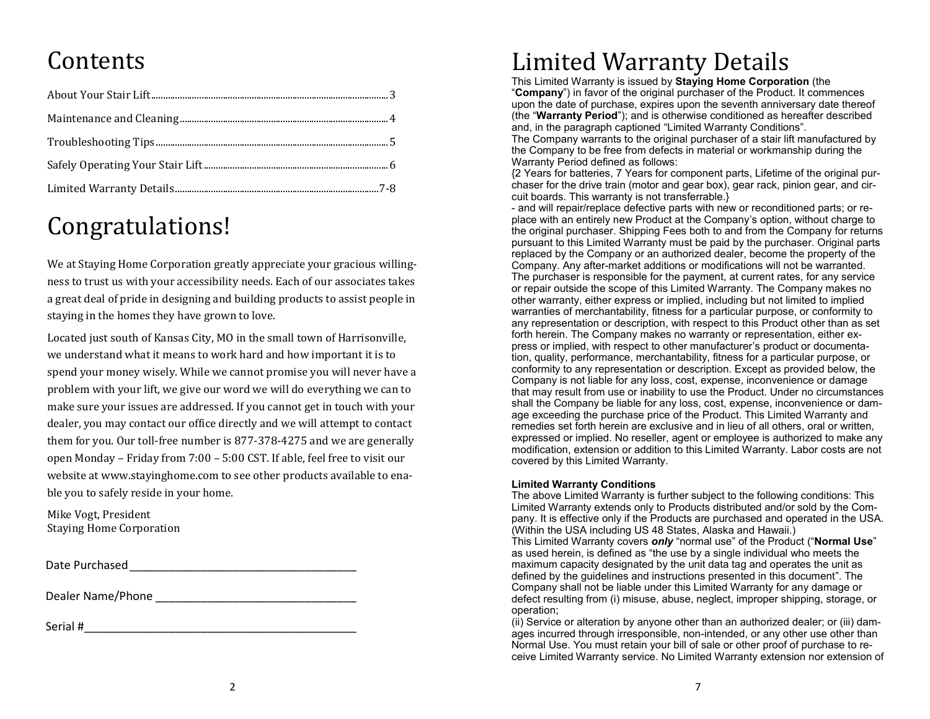### **Contents**

### Congratulations!

We at Staying Home Corporation greatly appreciate your gracious willingness to trust us with your accessibility needs. Each of our associates takes a great deal of pride in designing and building products to assist people in staying in the homes they have grown to love.

Located just south of Kansas City, MO in the small town of Harrisonville, we understand what it means to work hard and how important it is to spend your money wisely. While we cannot promise you will never have a problem with your lift, we give our word we will do everything we can to make sure your issues are addressed. If you cannot get in touch with your dealer, you may contact our office directly and we will attempt to contact them for you. Our toll-free number is 877-378-4275 and we are generally open Monday – Friday from 7:00 – 5:00 CST. If able, feel free to visit our website at www.stayinghome.com to see other products available to enable you to safely reside in your home.

Mike Vogt, President Staying Home Corporation

Date Purchased\_\_\_\_\_\_\_\_\_\_\_\_\_\_\_\_\_\_\_\_\_\_\_\_\_\_\_\_\_\_\_\_\_\_\_

Dealer Name/Phone

Serial #\_\_\_\_\_\_\_\_\_\_\_\_\_\_\_\_\_\_\_\_\_\_\_\_\_\_\_\_\_\_\_\_\_\_\_\_\_\_\_\_\_\_

### Limited Warranty Details

This Limited Warranty is issued by **Staying Home Corporation** (the "**Company**") in favor of the original purchaser of the Product. It commences upon the date of purchase, expires upon the seventh anniversary date thereof (the "**Warranty Period**"); and is otherwise conditioned as hereafter described and, in the paragraph captioned "Limited Warranty Conditions".

The Company warrants to the original purchaser of a stair lift manufactured by the Company to be free from defects in material or workmanship during the Warranty Period defined as follows:

{2 Years for batteries, 7 Years for component parts, Lifetime of the original purchaser for the drive train (motor and gear box), gear rack, pinion gear, and circuit boards. This warranty is not transferrable.}

- and will repair/replace defective parts with new or reconditioned parts; or replace with an entirely new Product at the Company's option, without charge to the original purchaser. Shipping Fees both to and from the Company for returns pursuant to this Limited Warranty must be paid by the purchaser. Original parts replaced by the Company or an authorized dealer, become the property of the Company. Any after-market additions or modifications will not be warranted. The purchaser is responsible for the payment, at current rates, for any service or repair outside the scope of this Limited Warranty. The Company makes no other warranty, either express or implied, including but not limited to implied warranties of merchantability, fitness for a particular purpose, or conformity to any representation or description, with respect to this Product other than as set forth herein. The Company makes no warranty or representation, either express or implied, with respect to other manufacturer's product or documentation, quality, performance, merchantability, fitness for a particular purpose, or conformity to any representation or description. Except as provided below, the Company is not liable for any loss, cost, expense, inconvenience or damage that may result from use or inability to use the Product. Under no circumstances shall the Company be liable for any loss, cost, expense, inconvenience or damage exceeding the purchase price of the Product. This Limited Warranty and remedies set forth herein are exclusive and in lieu of all others, oral or written, expressed or implied. No reseller, agent or employee is authorized to make any modification, extension or addition to this Limited Warranty. Labor costs are not covered by this Limited Warranty.

#### **Limited Warranty Conditions**

The above Limited Warranty is further subject to the following conditions: This Limited Warranty extends only to Products distributed and/or sold by the Company. It is effective only if the Products are purchased and operated in the USA. (Within the USA including US 48 States, Alaska and Hawaii.)

This Limited Warranty covers *only* "normal use" of the Product ("**Normal Use**" as used herein, is defined as "the use by a single individual who meets the maximum capacity designated by the unit data tag and operates the unit as defined by the guidelines and instructions presented in this document". The Company shall not be liable under this Limited Warranty for any damage or defect resulting from (i) misuse, abuse, neglect, improper shipping, storage, or operation;

(ii) Service or alteration by anyone other than an authorized dealer; or (iii) damages incurred through irresponsible, non-intended, or any other use other than Normal Use. You must retain your bill of sale or other proof of purchase to receive Limited Warranty service. No Limited Warranty extension nor extension of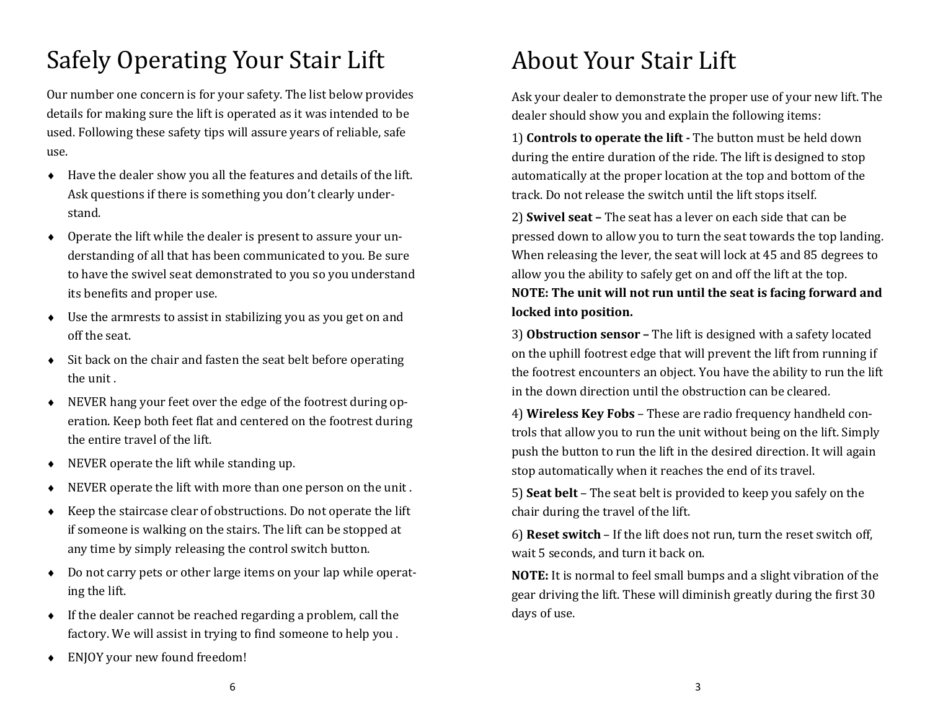# Safely Operating Your Stair Lift

Our number one concern is for your safety. The list below provides details for making sure the lift is operated as it was intended to be used. Following these safety tips will assure years of reliable, safe use.

- Have the dealer show you all the features and details of the lift. Ask questions if there is something you don't clearly understand.
- Operate the lift while the dealer is present to assure your understanding of all that has been communicated to you. Be sure to have the swivel seat demonstrated to you so you understand its benefits and proper use.
- Use the armrests to assist in stabilizing you as you get on and off the seat.
- $\bullet$  Sit back on the chair and fasten the seat belt before operating the unit .
- NEVER hang your feet over the edge of the footrest during operation. Keep both feet flat and centered on the footrest during the entire travel of the lift.
- NEVER operate the lift while standing up.
- NEVER operate the lift with more than one person on the unit .
- $\triangle$  Keep the staircase clear of obstructions. Do not operate the lift if someone is walking on the stairs. The lift can be stopped at any time by simply releasing the control switch button.
- Do not carry pets or other large items on your lap while operating the lift.
- $\bullet$  If the dealer cannot be reached regarding a problem, call the factory. We will assist in trying to find someone to help you .
- ENJOY your new found freedom!

# About Your Stair Lift

Ask your dealer to demonstrate the proper use of your new lift. The dealer should show you and explain the following items:

1) **Controls to operate the lift -** The button must be held down during the entire duration of the ride. The lift is designed to stop automatically at the proper location at the top and bottom of the track. Do not release the switch until the lift stops itself.

2) **Swivel seat –** The seat has a lever on each side that can be pressed down to allow you to turn the seat towards the top landing. When releasing the lever, the seat will lock at 45 and 85 degrees to allow you the ability to safely get on and off the lift at the top. **NOTE: The unit will not run until the seat is facing forward and locked into position.**

3) **Obstruction sensor –** The lift is designed with a safety located on the uphill footrest edge that will prevent the lift from running if the footrest encounters an object. You have the ability to run the lift in the down direction until the obstruction can be cleared.

4) **Wireless Key Fobs** – These are radio frequency handheld controls that allow you to run the unit without being on the lift. Simply push the button to run the lift in the desired direction. It will again stop automatically when it reaches the end of its travel.

5) **Seat belt** – The seat belt is provided to keep you safely on the chair during the travel of the lift.

6) **Reset switch** – If the lift does not run, turn the reset switch off, wait 5 seconds, and turn it back on.

**NOTE:** It is normal to feel small bumps and a slight vibration of the gear driving the lift. These will diminish greatly during the first 30 days of use.